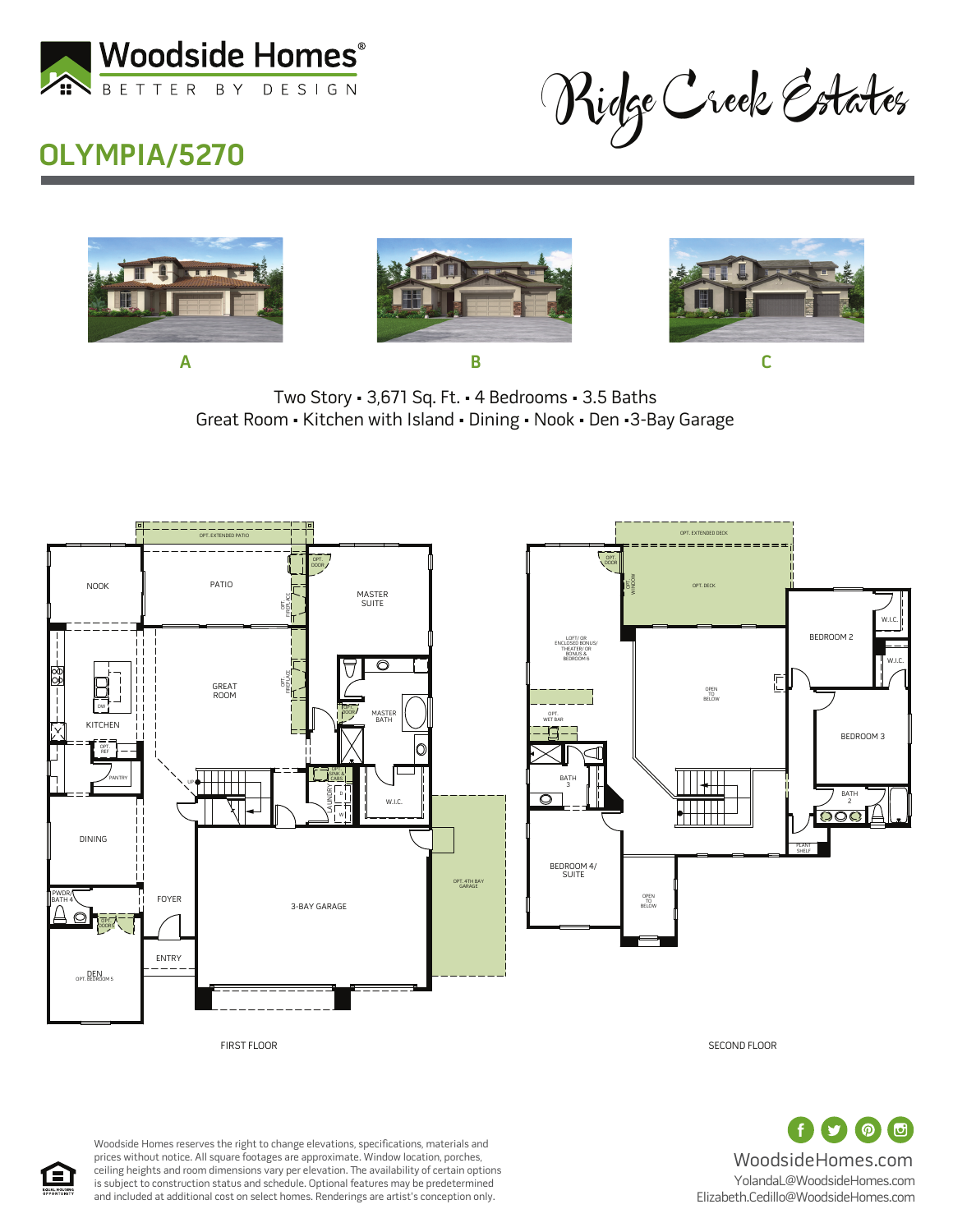

Ridge Creek Estates

## **OLYMPIA/5270**







Two Story • 3,671 Sq. Ft. • 4 Bedrooms • 3.5 Baths Great Room • Kitchen with Island • Dining • Nook • Den •3-Bay Garage



 $\Box$ (の) WoodsideHomes.com YolandaL@WoodsideHomes.com Elizabeth.Cedillo@WoodsideHomes.com